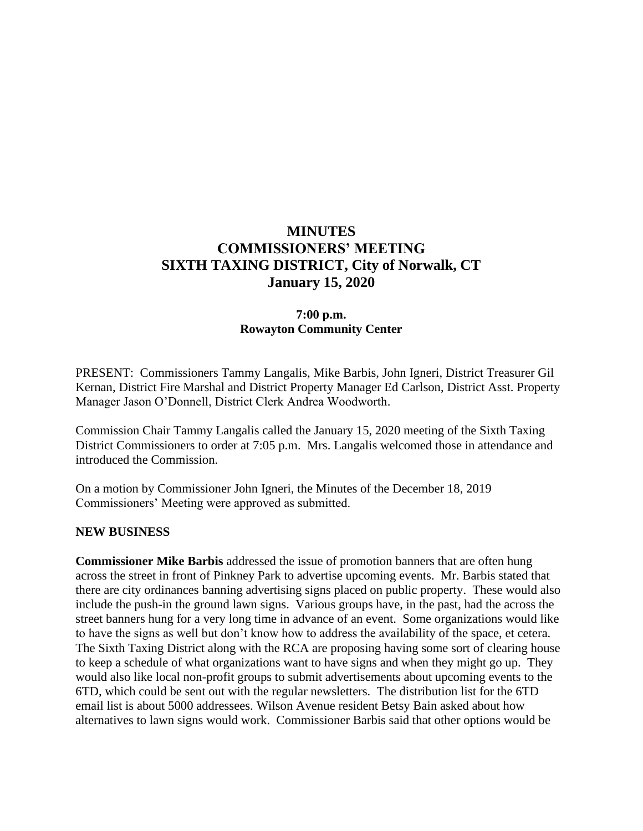# **MINUTES COMMISSIONERS' MEETING SIXTH TAXING DISTRICT, City of Norwalk, CT January 15, 2020**

# **7:00 p.m. Rowayton Community Center**

PRESENT: Commissioners Tammy Langalis, Mike Barbis, John Igneri, District Treasurer Gil Kernan, District Fire Marshal and District Property Manager Ed Carlson, District Asst. Property Manager Jason O'Donnell, District Clerk Andrea Woodworth.

Commission Chair Tammy Langalis called the January 15, 2020 meeting of the Sixth Taxing District Commissioners to order at 7:05 p.m. Mrs. Langalis welcomed those in attendance and introduced the Commission.

On a motion by Commissioner John Igneri, the Minutes of the December 18, 2019 Commissioners' Meeting were approved as submitted.

#### **NEW BUSINESS**

**Commissioner Mike Barbis** addressed the issue of promotion banners that are often hung across the street in front of Pinkney Park to advertise upcoming events. Mr. Barbis stated that there are city ordinances banning advertising signs placed on public property. These would also include the push-in the ground lawn signs. Various groups have, in the past, had the across the street banners hung for a very long time in advance of an event. Some organizations would like to have the signs as well but don't know how to address the availability of the space, et cetera. The Sixth Taxing District along with the RCA are proposing having some sort of clearing house to keep a schedule of what organizations want to have signs and when they might go up. They would also like local non-profit groups to submit advertisements about upcoming events to the 6TD, which could be sent out with the regular newsletters. The distribution list for the 6TD email list is about 5000 addressees. Wilson Avenue resident Betsy Bain asked about how alternatives to lawn signs would work. Commissioner Barbis said that other options would be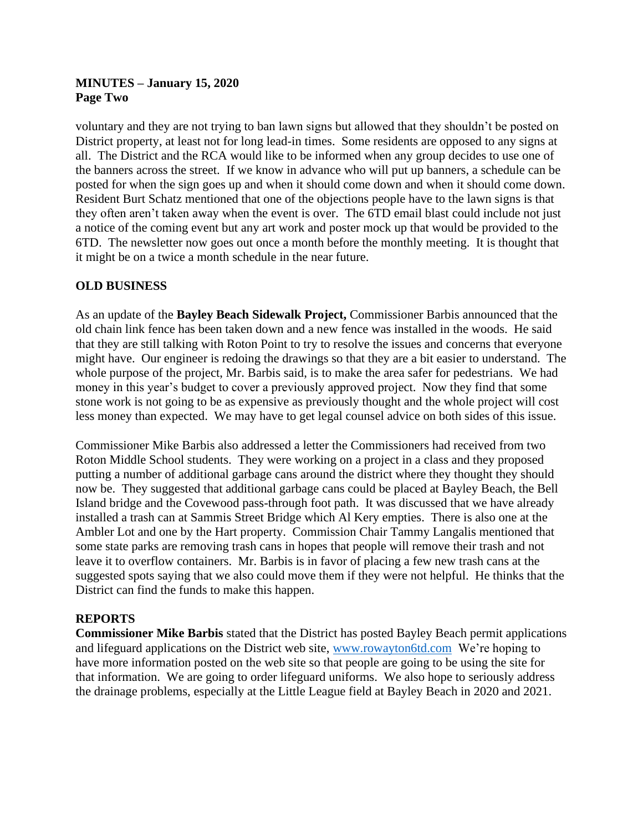# **MINUTES – January 15, 2020 Page Two**

voluntary and they are not trying to ban lawn signs but allowed that they shouldn't be posted on District property, at least not for long lead-in times. Some residents are opposed to any signs at all. The District and the RCA would like to be informed when any group decides to use one of the banners across the street. If we know in advance who will put up banners, a schedule can be posted for when the sign goes up and when it should come down and when it should come down. Resident Burt Schatz mentioned that one of the objections people have to the lawn signs is that they often aren't taken away when the event is over. The 6TD email blast could include not just a notice of the coming event but any art work and poster mock up that would be provided to the 6TD. The newsletter now goes out once a month before the monthly meeting. It is thought that it might be on a twice a month schedule in the near future.

# **OLD BUSINESS**

As an update of the **Bayley Beach Sidewalk Project,** Commissioner Barbis announced that the old chain link fence has been taken down and a new fence was installed in the woods. He said that they are still talking with Roton Point to try to resolve the issues and concerns that everyone might have. Our engineer is redoing the drawings so that they are a bit easier to understand. The whole purpose of the project, Mr. Barbis said, is to make the area safer for pedestrians. We had money in this year's budget to cover a previously approved project. Now they find that some stone work is not going to be as expensive as previously thought and the whole project will cost less money than expected. We may have to get legal counsel advice on both sides of this issue.

Commissioner Mike Barbis also addressed a letter the Commissioners had received from two Roton Middle School students. They were working on a project in a class and they proposed putting a number of additional garbage cans around the district where they thought they should now be. They suggested that additional garbage cans could be placed at Bayley Beach, the Bell Island bridge and the Covewood pass-through foot path. It was discussed that we have already installed a trash can at Sammis Street Bridge which Al Kery empties. There is also one at the Ambler Lot and one by the Hart property. Commission Chair Tammy Langalis mentioned that some state parks are removing trash cans in hopes that people will remove their trash and not leave it to overflow containers. Mr. Barbis is in favor of placing a few new trash cans at the suggested spots saying that we also could move them if they were not helpful. He thinks that the District can find the funds to make this happen.

#### **REPORTS**

**Commissioner Mike Barbis** stated that the District has posted Bayley Beach permit applications and lifeguard applications on the District web site, [www.rowayton6td.com](http://www.rowayton6td.com/) We're hoping to have more information posted on the web site so that people are going to be using the site for that information. We are going to order lifeguard uniforms. We also hope to seriously address the drainage problems, especially at the Little League field at Bayley Beach in 2020 and 2021.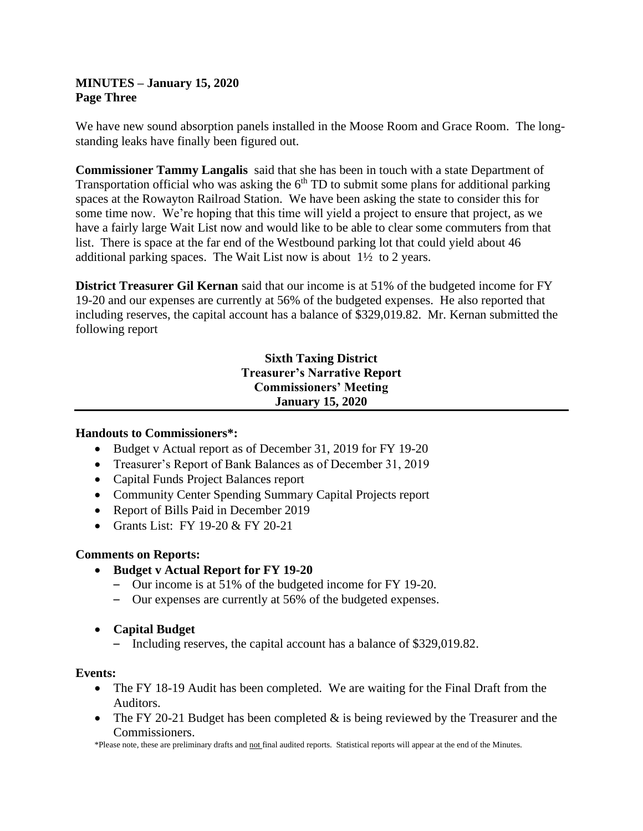# **MINUTES – January 15, 2020 Page Three**

We have new sound absorption panels installed in the Moose Room and Grace Room. The longstanding leaks have finally been figured out.

**Commissioner Tammy Langalis** said that she has been in touch with a state Department of Transportation official who was asking the  $6<sup>th</sup>$  TD to submit some plans for additional parking spaces at the Rowayton Railroad Station. We have been asking the state to consider this for some time now. We're hoping that this time will yield a project to ensure that project, as we have a fairly large Wait List now and would like to be able to clear some commuters from that list. There is space at the far end of the Westbound parking lot that could yield about 46 additional parking spaces. The Wait List now is about 1½ to 2 years.

**District Treasurer Gil Kernan** said that our income is at 51% of the budgeted income for FY 19-20 and our expenses are currently at 56% of the budgeted expenses. He also reported that including reserves, the capital account has a balance of \$329,019.82. Mr. Kernan submitted the following report

# **Sixth Taxing District Treasurer's Narrative Report Commissioners' Meeting January 15, 2020**

#### **Handouts to Commissioners\*:**

- Budget v Actual report as of December 31, 2019 for FY 19-20
- Treasurer's Report of Bank Balances as of December 31, 2019
- Capital Funds Project Balances report
- Community Center Spending Summary Capital Projects report
- Report of Bills Paid in December 2019
- Grants List: FY 19-20 & FY 20-21

#### **Comments on Reports:**

- **Budget v Actual Report for FY 19-20**
	- Our income is at 51% of the budgeted income for FY 19-20.
	- Our expenses are currently at 56% of the budgeted expenses.
- **Capital Budget**
	- Including reserves, the capital account has a balance of \$329,019.82.

#### **Events:**

- The FY 18-19 Audit has been completed. We are waiting for the Final Draft from the Auditors.
- The FY 20-21 Budget has been completed  $&$  is being reviewed by the Treasurer and the Commissioners.

\*Please note, these are preliminary drafts and not final audited reports. Statistical reports will appear at the end of the Minutes.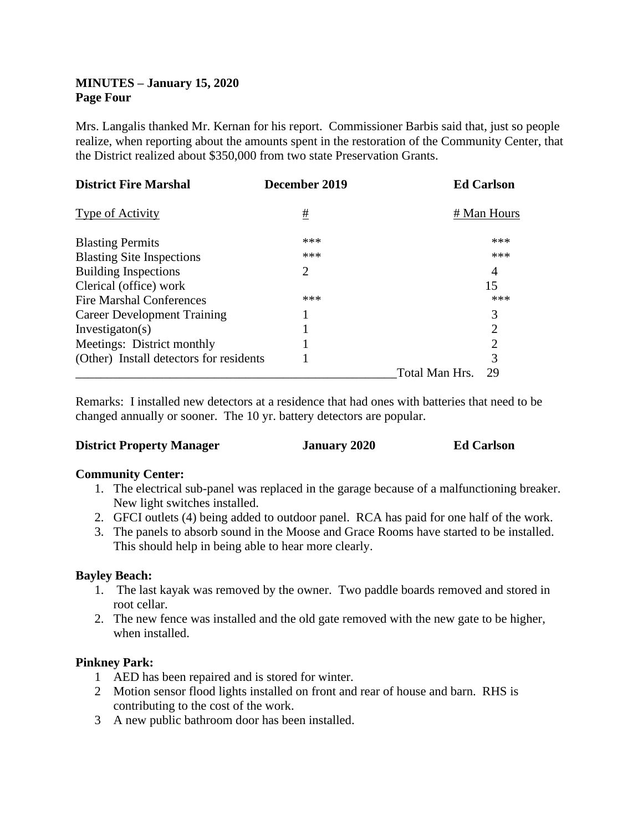# **MINUTES – January 15, 2020 Page Four**

Mrs. Langalis thanked Mr. Kernan for his report. Commissioner Barbis said that, just so people realize, when reporting about the amounts spent in the restoration of the Community Center, that the District realized about \$350,000 from two state Preservation Grants.

| <b>District Fire Marshal</b>            | December 2019 |                | <b>Ed Carlson</b> |
|-----------------------------------------|---------------|----------------|-------------------|
| Type of Activity                        | #             |                | # Man Hours       |
| <b>Blasting Permits</b>                 | ***           |                | ***               |
| <b>Blasting Site Inspections</b>        | ***           |                | ***               |
| <b>Building Inspections</b>             | 2             |                | 4                 |
| Clerical (office) work                  |               |                | 15                |
| Fire Marshal Conferences                | ***           |                | ***               |
| <b>Career Development Training</b>      |               |                | 3                 |
| Investigation(s)                        |               |                | $\overline{2}$    |
| Meetings: District monthly              |               |                | 2                 |
| (Other) Install detectors for residents |               |                | 3                 |
|                                         |               | Total Man Hrs. | 29                |

Remarks: I installed new detectors at a residence that had ones with batteries that need to be changed annually or sooner. The 10 yr. battery detectors are popular.

| <b>District Property Manager</b> | <b>January 2020</b> | <b>Ed Carlson</b> |
|----------------------------------|---------------------|-------------------|
|                                  |                     |                   |

#### **Community Center:**

- 1. The electrical sub-panel was replaced in the garage because of a malfunctioning breaker. New light switches installed.
- 2. GFCI outlets (4) being added to outdoor panel. RCA has paid for one half of the work.
- 3. The panels to absorb sound in the Moose and Grace Rooms have started to be installed. This should help in being able to hear more clearly.

#### **Bayley Beach:**

- 1. The last kayak was removed by the owner. Two paddle boards removed and stored in root cellar.
- 2. The new fence was installed and the old gate removed with the new gate to be higher, when installed.

# **Pinkney Park:**

- 1 AED has been repaired and is stored for winter.
- 2 Motion sensor flood lights installed on front and rear of house and barn. RHS is contributing to the cost of the work.
- 3 A new public bathroom door has been installed.